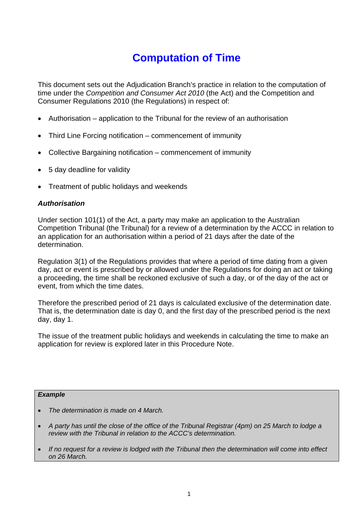# **Computation of Time**

This document sets out the Adjudication Branch's practice in relation to the computation of time under the *Competition and Consumer Act 2010* (the Act) and the Competition and Consumer Regulations 2010 (the Regulations) in respect of:

- Authorisation application to the Tribunal for the review of an authorisation
- Third Line Forcing notification commencement of immunity
- Collective Bargaining notification commencement of immunity
- 5 day deadline for validity
- Treatment of public holidays and weekends

#### *Authorisation*

Under section 101(1) of the Act, a party may make an application to the Australian Competition Tribunal (the Tribunal) for a review of a determination by the ACCC in relation to an application for an authorisation within a period of 21 days after the date of the determination.

Regulation 3(1) of the Regulations provides that where a period of time dating from a given day, act or event is prescribed by or allowed under the Regulations for doing an act or taking a proceeding, the time shall be reckoned exclusive of such a day, or of the day of the act or event, from which the time dates.

Therefore the prescribed period of 21 days is calculated exclusive of the determination date. That is, the determination date is day 0, and the first day of the prescribed period is the next day, day 1.

The issue of the treatment public holidays and weekends in calculating the time to make an application for review is explored later in this Procedure Note.

#### *Example*

- *The determination is made on 4 March.*
- *A party has until the close of the office of the Tribunal Registrar (4pm) on 25 March to lodge a review with the Tribunal in relation to the ACCC's determination.*
- *If no request for a review is lodged with the Tribunal then the determination will come into effect on 26 March.*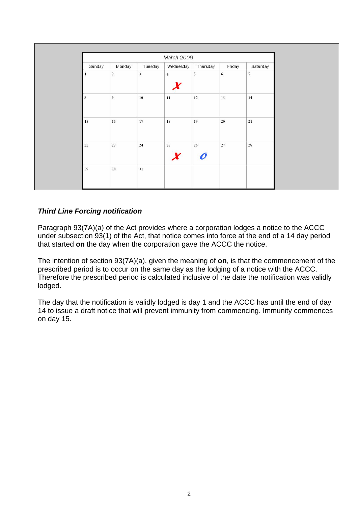|        | March 2009       |                         |                |            |            |                   |  |  |  |
|--------|------------------|-------------------------|----------------|------------|------------|-------------------|--|--|--|
| Sunday | Monday           | Tuesday                 | Wednesday      | Thursday   | Friday     | Saturday          |  |  |  |
|        | $\mathbf 2$      | $\overline{\mathbf{3}}$ | $\overline{4}$ | $\sf 5$    | $\sqrt{6}$ | $\overline{\tau}$ |  |  |  |
| $\,$ s | $\boldsymbol{9}$ | $10\,$                  | $11\,$         | $12\,$     | 13         | 14                |  |  |  |
| 15     | 16               | 17                      | 18             | 19         | 20         | $21$              |  |  |  |
| 22     | 23               | $24$                    | $25\,$         | ${\bf 26}$ | ${\bf 27}$ | $2\mathrm{S}$     |  |  |  |
| 29     | 30               | 31                      |                |            |            |                   |  |  |  |

# *Third Line Forcing notification*

Paragraph 93(7A)(a) of the Act provides where a corporation lodges a notice to the ACCC under subsection 93(1) of the Act, that notice comes into force at the end of a 14 day period that started **on** the day when the corporation gave the ACCC the notice.

The intention of section 93(7A)(a), given the meaning of **on**, is that the commencement of the prescribed period is to occur on the same day as the lodging of a notice with the ACCC. Therefore the prescribed period is calculated inclusive of the date the notification was validly lodged.

The day that the notification is validly lodged is day 1 and the ACCC has until the end of day 14 to issue a draft notice that will prevent immunity from commencing. Immunity commences on day 15.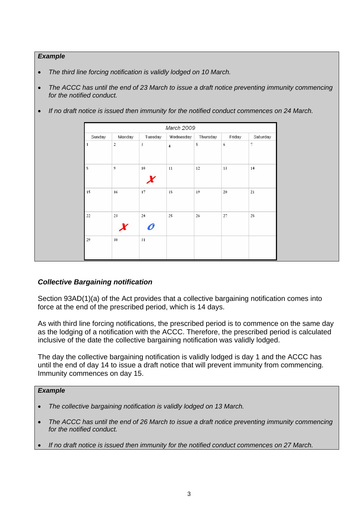#### *Example*

- *The third line forcing notification is validly lodged on 10 March.*
- *The ACCC has until the end of 23 March to issue a draft notice preventing immunity commencing for the notified conduct.*
- *If no draft notice is issued then immunity for the notified conduct commences on 24 March.*

|             | March 2009     |                         |                |          |               |                |  |  |  |  |
|-------------|----------------|-------------------------|----------------|----------|---------------|----------------|--|--|--|--|
| Sunday      | Monday         | Tuesday                 | Wednesday      | Thursday | Friday        | Saturday       |  |  |  |  |
| 1           | $\mathbf 2$    | $\overline{\mathbf{3}}$ | $\overline{4}$ | 5        | $\sqrt{6}$    | $\overline{7}$ |  |  |  |  |
| $\mathbf S$ | $\overline{9}$ | 10                      | 11             | 12       | 13            | 14             |  |  |  |  |
| 15          | 16             | 17                      | 18             | 19       | 20            | 21             |  |  |  |  |
| 22          | 23             | 24                      | 25             | 26       | $\mathbf{27}$ | $2\mathrm{S}$  |  |  |  |  |
| 29          | 30             | 31                      |                |          |               |                |  |  |  |  |

## *Collective Bargaining notification*

Section 93AD(1)(a) of the Act provides that a collective bargaining notification comes into force at the end of the prescribed period, which is 14 days.

As with third line forcing notifications, the prescribed period is to commence on the same day as the lodging of a notification with the ACCC. Therefore, the prescribed period is calculated inclusive of the date the collective bargaining notification was validly lodged.

The day the collective bargaining notification is validly lodged is day 1 and the ACCC has until the end of day 14 to issue a draft notice that will prevent immunity from commencing. Immunity commences on day 15.

#### *Example*

 $\overline{a}$ 

- *The collective bargaining notification is validly lodged on 13 March.*
- *The ACCC has until the end of 26 March to issue a draft notice preventing immunity commencing for the notified conduct.*
- *If no draft notice is issued then immunity for the notified conduct commences on 27 March.*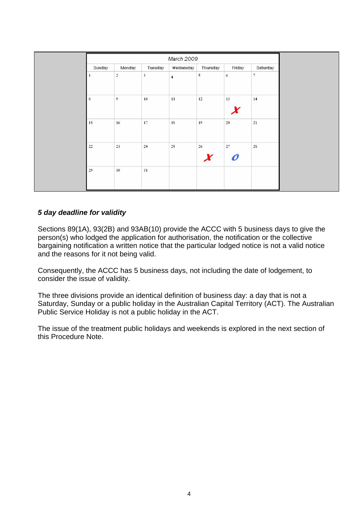|        | March 2009     |            |                |          |               |                |  |  |  |
|--------|----------------|------------|----------------|----------|---------------|----------------|--|--|--|
| Sunday | Monday         | Tuesday    | Wednesday      | Thursday | Friday        | Saturday       |  |  |  |
|        | $\sqrt{2}$     | $\sqrt{3}$ | $\overline{4}$ | 5        | 6             | $\overline{7}$ |  |  |  |
| s      | $\overline{9}$ | $10\,$     | $\bf 11$       | $12\,$   | $13\,$        | 14             |  |  |  |
| 15     | $16\,$         | $17\,$     | $1\mathrm{S}$  | 19       | ${\bf 20}$    | $\mathbf{21}$  |  |  |  |
| 22     | $23\,$         | 24         | $25\,$         | $26\,$   | $\mathbf{27}$ | $2\mathrm{S}$  |  |  |  |
| 29     | 30             | 31         |                |          |               |                |  |  |  |

## *5 day deadline for validity*

Sections 89(1A), 93(2B) and 93AB(10) provide the ACCC with 5 business days to give the person(s) who lodged the application for authorisation, the notification or the collective bargaining notification a written notice that the particular lodged notice is not a valid notice and the reasons for it not being valid.

Consequently, the ACCC has 5 business days, not including the date of lodgement, to consider the issue of validity.

The three divisions provide an identical definition of business day: a day that is not a Saturday, Sunday or a public holiday in the Australian Capital Territory (ACT). The Australian Public Service Holiday is not a public holiday in the ACT.

The issue of the treatment public holidays and weekends is explored in the next section of this Procedure Note.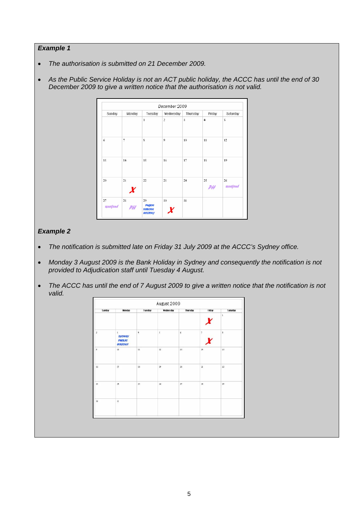#### *Example 1*

- *The authorisation is submitted on 21 December 2009.*
- *As the Public Service Holiday is not an ACT public holiday, the ACCC has until the end of 30 December 2009 to give a written notice that the authorisation is not valid.*



#### *Example 2*

- *The notification is submitted late on Friday 31 July 2009 at the ACCC's Sydney office.*
- *Monday 3 August 2009 is the Bank Holiday in Sydney and consequently the notification is not provided to Adjudication staff until Tuesday 4 August.*
- The ACCC has until the end of 7 August 2009 to give a written notice that the notification is not *valid.*

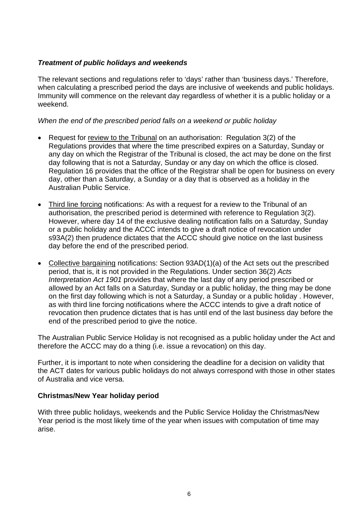## *Treatment of public holidays and weekends*

The relevant sections and regulations refer to 'days' rather than 'business days.' Therefore, when calculating a prescribed period the days are inclusive of weekends and public holidays. Immunity will commence on the relevant day regardless of whether it is a public holiday or a weekend.

## *When the end of the prescribed period falls on a weekend or public holiday*

- Request for review to the Tribunal on an authorisation: Regulation 3(2) of the Regulations provides that where the time prescribed expires on a Saturday, Sunday or any day on which the Registrar of the Tribunal is closed, the act may be done on the first day following that is not a Saturday, Sunday or any day on which the office is closed. Regulation 16 provides that the office of the Registrar shall be open for business on every day, other than a Saturday, a Sunday or a day that is observed as a holiday in the Australian Public Service.
- Third line forcing notifications: As with a request for a review to the Tribunal of an authorisation, the prescribed period is determined with reference to Regulation 3(2). However, where day 14 of the exclusive dealing notification falls on a Saturday, Sunday or a public holiday and the ACCC intends to give a draft notice of revocation under s93A(2) then prudence dictates that the ACCC should give notice on the last business day before the end of the prescribed period.
- Collective bargaining notifications: Section 93AD(1)(a) of the Act sets out the prescribed period, that is, it is not provided in the Regulations. Under section 36(2) *Acts Interpretation Act 1901* provides that where the last day of any period prescribed or allowed by an Act falls on a Saturday, Sunday or a public holiday, the thing may be done on the first day following which is not a Saturday, a Sunday or a public holiday . However, as with third line forcing notifications where the ACCC intends to give a draft notice of revocation then prudence dictates that is has until end of the last business day before the end of the prescribed period to give the notice.

The Australian Public Service Holiday is not recognised as a public holiday under the Act and therefore the ACCC may do a thing (i.e. issue a revocation) on this day.

Further, it is important to note when considering the deadline for a decision on validity that the ACT dates for various public holidays do not always correspond with those in other states of Australia and vice versa.

### **Christmas/New Year holiday period**

With three public holidays, weekends and the Public Service Holiday the Christmas/New Year period is the most likely time of the year when issues with computation of time may arise.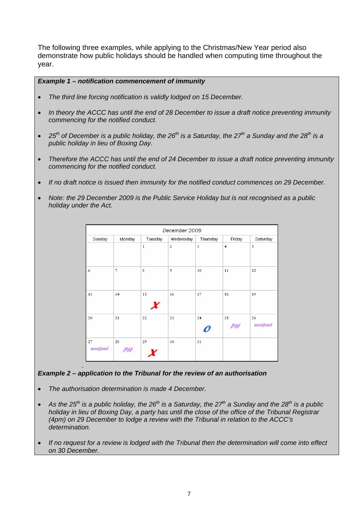The following three examples, while applying to the Christmas/New Year period also demonstrate how public holidays should be handled when computing time throughout the year.

#### *Example 1 – notification commencement of immunity*

- *The third line forcing notification is validly lodged on 15 December.*
- *In theory the ACCC has until the end of 28 December to issue a draft notice preventing immunity commencing for the notified conduct.*
- $\bullet$  25<sup>th</sup> of December is a public holiday, the 26<sup>th</sup> is a Saturday, the 27<sup>th</sup> a Sunday and the 28<sup>th</sup> is a *public holiday in lieu of Boxing Day.*
- *Therefore the ACCC has until the end of 24 December to issue a draft notice preventing immunity commencing for the notified conduct.*
- *If no draft notice is issued then immunity for the notified conduct commences on 29 December.*
- *Note: the 29 December 2009 is the Public Service Holiday but is not recognised as a public holiday under the Act.*

| December 2009          |          |              |                         |                         |                |               |  |  |  |
|------------------------|----------|--------------|-------------------------|-------------------------|----------------|---------------|--|--|--|
| Sunday                 | Monday   | Tuesday      | Wednesday               | Thursday                | Friday         | Saturday      |  |  |  |
|                        |          | $\mathbf{1}$ | $\overline{\mathbf{c}}$ | $\overline{\mathbf{3}}$ | $\overline{4}$ | 5             |  |  |  |
| 6                      | 7        | s            | 9                       | 10                      | 11             | 12            |  |  |  |
| 13                     | 14       | 15           | 16                      | $17\,$                  | <b>1S</b>      | 19            |  |  |  |
| 20                     | 21       | $22\,$       | 23                      | 24                      | 25             | 26<br>weegend |  |  |  |
| $\sqrt{27}$<br>weekend | 2S<br>PH | 29           | 30                      | 31                      |                |               |  |  |  |

#### *. Example 2 – application to the Tribunal for the review of an authorisation*

- *The authorisation determination is made 4 December.*
- As the 25<sup>th</sup> is a public holiday, the 26<sup>th</sup> is a Saturday, the 27<sup>th</sup> a Sunday and the 28<sup>th</sup> is a public *holiday in lieu of Boxing Day, a party has until the close of the office of the Tribunal Registrar (4pm) on 29 December to lodge a review with the Tribunal in relation to the ACCC's determination.*
- *If no request for a review is lodged with the Tribunal then the determination will come into effect on 30 December.*